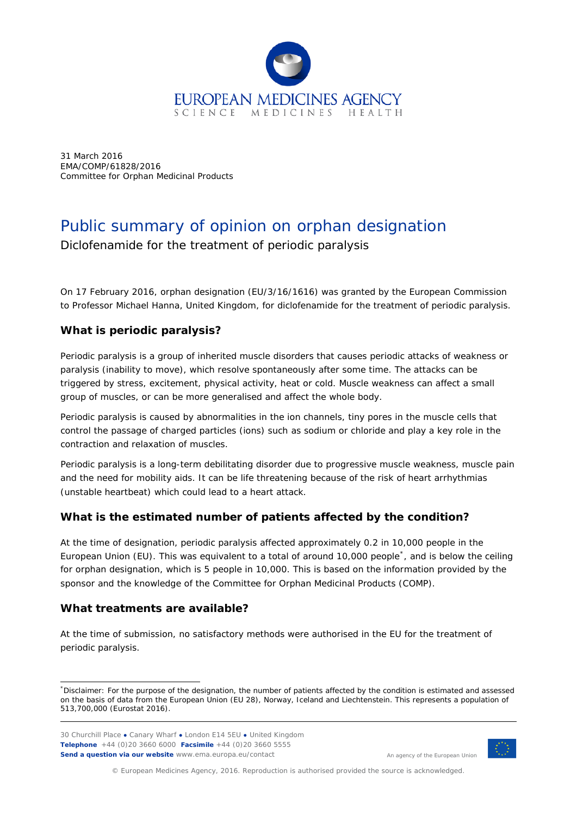

31 March 2016 EMA/COMP/61828/2016 Committee for Orphan Medicinal Products

# Public summary of opinion on orphan designation

Diclofenamide for the treatment of periodic paralysis

On 17 February 2016, orphan designation (EU/3/16/1616) was granted by the European Commission to Professor Michael Hanna, United Kingdom, for diclofenamide for the treatment of periodic paralysis.

# **What is periodic paralysis?**

Periodic paralysis is a group of inherited muscle disorders that causes periodic attacks of weakness or paralysis (inability to move), which resolve spontaneously after some time. The attacks can be triggered by stress, excitement, physical activity, heat or cold. Muscle weakness can affect a small group of muscles, or can be more generalised and affect the whole body.

Periodic paralysis is caused by abnormalities in the ion channels, tiny pores in the muscle cells that control the passage of charged particles (ions) such as sodium or chloride and play a key role in the contraction and relaxation of muscles.

Periodic paralysis is a long-term debilitating disorder due to progressive muscle weakness, muscle pain and the need for mobility aids. It can be life threatening because of the risk of heart arrhythmias (unstable heartbeat) which could lead to a heart attack.

## **What is the estimated number of patients affected by the condition?**

At the time of designation, periodic paralysis affected approximately 0.2 in 10,000 people in the European Union (EU). This was equivalent to a total of around 10,000 people[\\*](#page-0-0) , and is below the ceiling for orphan designation, which is 5 people in 10,000. This is based on the information provided by the sponsor and the knowledge of the Committee for Orphan Medicinal Products (COMP)*.*

## **What treatments are available?**

At the time of submission, no satisfactory methods were authorised in the EU for the treatment of periodic paralysis.

30 Churchill Place **●** Canary Wharf **●** London E14 5EU **●** United Kingdom **Telephone** +44 (0)20 3660 6000 **Facsimile** +44 (0)20 3660 5555 **Send a question via our website** www.ema.europa.eu/contact



An agency of the European Union

© European Medicines Agency, 2016. Reproduction is authorised provided the source is acknowledged.

<span id="page-0-0"></span> <sup>\*</sup> Disclaimer: For the purpose of the designation, the number of patients affected by the condition is estimated and assessed on the basis of data from the European Union (EU 28), Norway, Iceland and Liechtenstein. This represents a population of 513,700,000 (Eurostat 2016).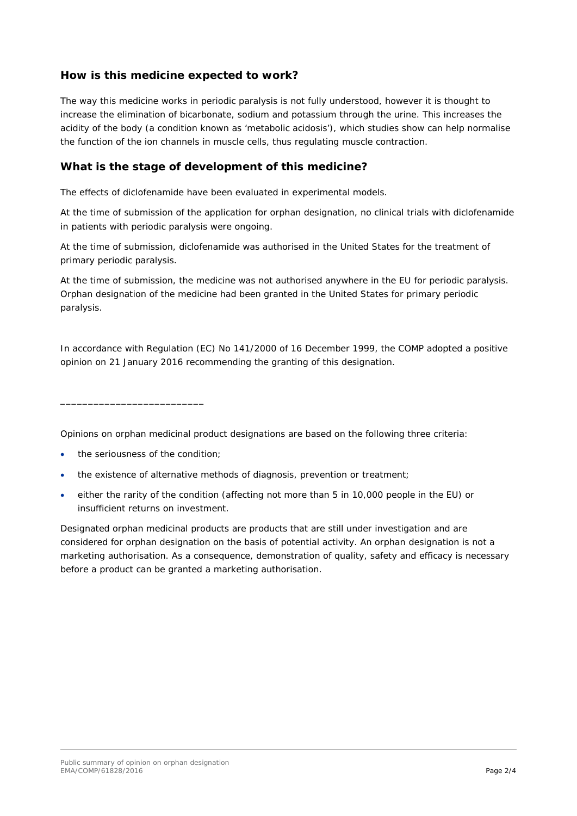#### **How is this medicine expected to work?**

The way this medicine works in periodic paralysis is not fully understood, however it is thought to increase the elimination of bicarbonate, sodium and potassium through the urine. This increases the acidity of the body (a condition known as 'metabolic acidosis'), which studies show can help normalise the function of the ion channels in muscle cells, thus regulating muscle contraction.

#### **What is the stage of development of this medicine?**

The effects of diclofenamide have been evaluated in experimental models.

At the time of submission of the application for orphan designation, no clinical trials with diclofenamide in patients with periodic paralysis were ongoing.

At the time of submission, diclofenamide was authorised in the United States for the treatment of primary periodic paralysis.

At the time of submission, the medicine was not authorised anywhere in the EU for periodic paralysis. Orphan designation of the medicine had been granted in the United States for primary periodic paralysis.

In accordance with Regulation (EC) No 141/2000 of 16 December 1999, the COMP adopted a positive opinion on 21 January 2016 recommending the granting of this designation.

\_\_\_\_\_\_\_\_\_\_\_\_\_\_\_\_\_\_\_\_\_\_\_\_\_\_

Opinions on orphan medicinal product designations are based on the following three criteria:

- the seriousness of the condition;
- the existence of alternative methods of diagnosis, prevention or treatment;
- either the rarity of the condition (affecting not more than 5 in 10,000 people in the EU) or insufficient returns on investment.

Designated orphan medicinal products are products that are still under investigation and are considered for orphan designation on the basis of potential activity. An orphan designation is not a marketing authorisation. As a consequence, demonstration of quality, safety and efficacy is necessary before a product can be granted a marketing authorisation.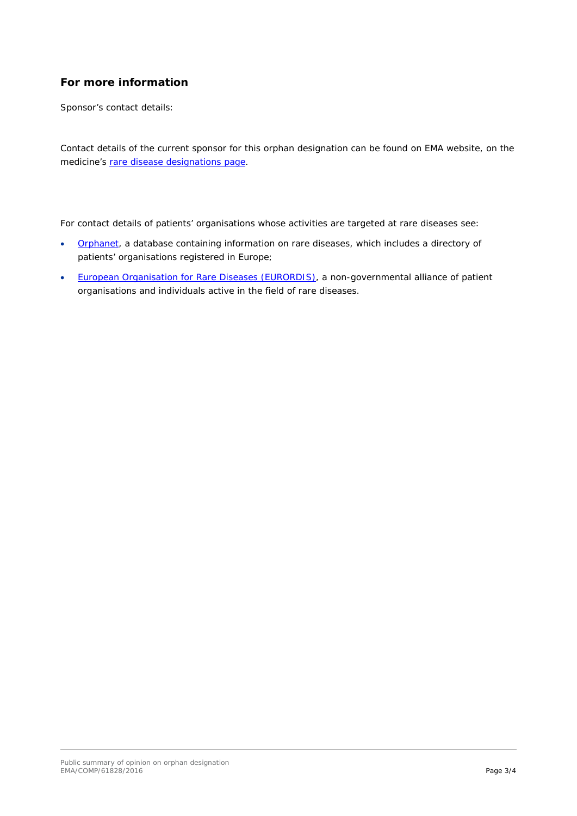# **For more information**

Sponsor's contact details:

Contact details of the current sponsor for this orphan designation can be found on EMA website, on the medicine's [rare disease designations page.](http://www.ema.europa.eu/ema/index.jsp?curl=pages/medicines/landing/orphan_search.jsp&mid=WC0b01ac058001d12b)

For contact details of patients' organisations whose activities are targeted at rare diseases see:

- [Orphanet,](http://www.orpha.net/consor/cgi-bin/index.php) a database containing information on rare diseases, which includes a directory of patients' organisations registered in Europe;
- [European Organisation for Rare Diseases \(EURORDIS\),](http://www.eurordis.org/content/rare-disease-patient-organisations) a non-governmental alliance of patient organisations and individuals active in the field of rare diseases.